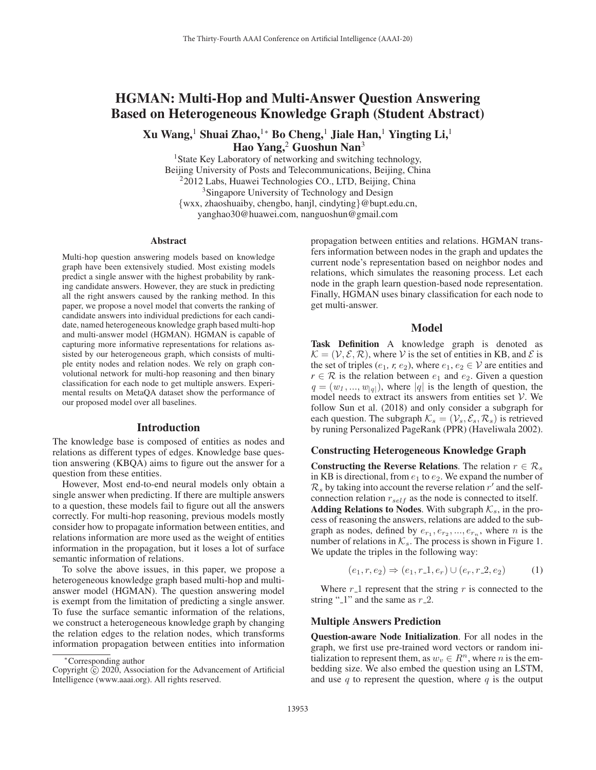# HGMAN: Multi-Hop and Multi-Answer Question Answering Based on Heterogeneous Knowledge Graph (Student Abstract)

Xu Wang,<sup>1</sup> Shuai Zhao,<sup>1</sup>\* Bo Cheng,<sup>1</sup> Jiale Han,<sup>1</sup> Yingting Li,<sup>1</sup> Hao Yang, $2$  Guoshun Nan $3$ 

<sup>1</sup>State Key Laboratory of networking and switching technology, Beijing University of Posts and Telecommunications, Beijing, China 22012 Labs, Huawei Technologies CO., LTD, Beijing, China <sup>3</sup>Singapore University of Technology and Design {wxx, zhaoshuaiby, chengbo, hanjl, cindyting}@bupt.edu.cn, yanghao30@huawei.com, nanguoshun@gmail.com

#### Abstract

Multi-hop question answering models based on knowledge graph have been extensively studied. Most existing models predict a single answer with the highest probability by ranking candidate answers. However, they are stuck in predicting all the right answers caused by the ranking method. In this paper, we propose a novel model that converts the ranking of candidate answers into individual predictions for each candidate, named heterogeneous knowledge graph based multi-hop and multi-answer model (HGMAN). HGMAN is capable of capturing more informative representations for relations assisted by our heterogeneous graph, which consists of multiple entity nodes and relation nodes. We rely on graph convolutional network for multi-hop reasoning and then binary classification for each node to get multiple answers. Experimental results on MetaQA dataset show the performance of our proposed model over all baselines.

#### Introduction

The knowledge base is composed of entities as nodes and relations as different types of edges. Knowledge base question answering (KBQA) aims to figure out the answer for a question from these entities.

However, Most end-to-end neural models only obtain a single answer when predicting. If there are multiple answers to a question, these models fail to figure out all the answers correctly. For multi-hop reasoning, previous models mostly consider how to propagate information between entities, and relations information are more used as the weight of entities information in the propagation, but it loses a lot of surface semantic information of relations.

To solve the above issues, in this paper, we propose a heterogeneous knowledge graph based multi-hop and multianswer model (HGMAN). The question answering model is exempt from the limitation of predicting a single answer. To fuse the surface semantic information of the relations, we construct a heterogeneous knowledge graph by changing the relation edges to the relation nodes, which transforms information propagation between entities into information

propagation between entities and relations. HGMAN transfers information between nodes in the graph and updates the current node's representation based on neighbor nodes and relations, which simulates the reasoning process. Let each node in the graph learn question-based node representation. Finally, HGMAN uses binary classification for each node to get multi-answer.

### Model

Task Definition A knowledge graph is denoted as  $\mathcal{K} = (\mathcal{V}, \mathcal{E}, \mathcal{R})$ , where V is the set of entities in KB, and  $\mathcal{E}$  is the set of triples ( $e_1$ ,  $r$ ,  $e_2$ ), where  $e_1$ ,  $e_2 \in V$  are entities and  $r \in \mathcal{R}$  is the relation between  $e_1$  and  $e_2$ . Given a question  $q = (w_1, ..., w_{|q|})$ , where |q| is the length of question, the model needs to extract its answers from entities set  $V$ . We follow Sun et al. (2018) and only consider a subgraph for each question. The subgraph  $\mathcal{K}_s = (\mathcal{V}_s, \mathcal{E}_s, \mathcal{R}_s)$  is retrieved by runing Personalized PageRank (PPR) (Haveliwala 2002).

#### Constructing Heterogeneous Knowledge Graph

Constructing the Reverse Relations. The relation  $r \in \mathcal{R}_s$ in KB is directional, from  $e_1$  to  $e_2$ . We expand the number of  $\mathcal{R}_s$  by taking into account the reverse relation  $r'$  and the selfconnection relation  $r_{self}$  as the node is connected to itself. Adding Relations to Nodes. With subgraph  $\mathcal{K}_s$ , in the process of reasoning the answers, relations are added to the subgraph as nodes, defined by  $e_{r_1}, e_{r_2}, ..., e_{r_n}$ , where *n* is the number of relations in  $\mathcal{K}_s$ . The process is shown in Figure 1. We update the triples in the following way:

$$
(e_1, r, e_2) \Rightarrow (e_1, r, 1, e_r) \cup (e_r, r, 2, e_2)
$$
 (1)

Where  $r_1$  represent that the string r is connected to the string " $1$ " and the same as  $r_2$ .

#### Multiple Answers Prediction

Question-aware Node Initialization. For all nodes in the graph, we first use pre-trained word vectors or random initialization to represent them, as  $w_v \in R^n$ , where *n* is the embedding size. We also embed the question using an LSTM, and use  $q$  to represent the question, where  $q$  is the output

<sup>∗</sup>Corresponding author

Copyright  $\odot$  2020, Association for the Advancement of Artificial Intelligence (www.aaai.org). All rights reserved.